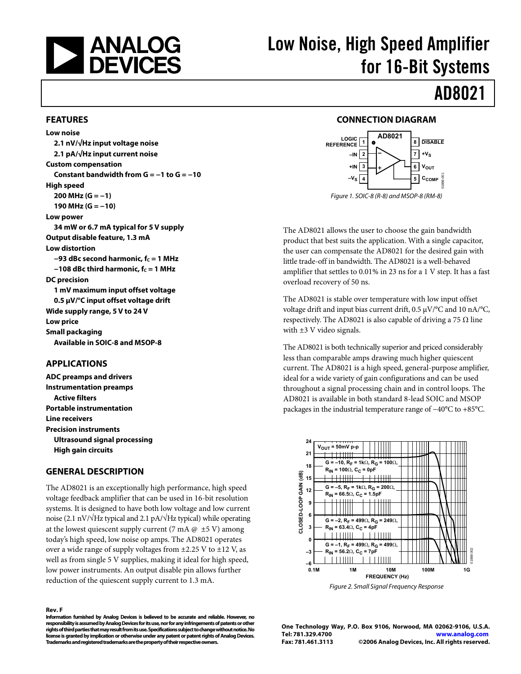<span id="page-0-0"></span>

# Low Noise, High Speed Amplifier for 16-Bit Systems

# AD8021

#### **FEATURES**

**Low noise 2.1 nV/√Hz input voltage noise 2.1 pA/√Hz input current noise Custom compensation Constant bandwidth from G = −1 to G = −10 High speed 200 MHz (G = −1) 190 MHz (G = −10) Low power 34 mW or 6.7 mA typical for 5 V supply Output disable feature, 1.3 mA Low distortion −93 dBc second harmonic, fc = 1 MHz −108 dBc third harmonic, fc = 1 MHz DC precision 1 mV maximum input offset voltage 0.5 μV/°C input offset voltage drift Wide supply range, 5 V to 24 V Low price Small packaging Available in SOIC-8 and MSOP-8** 

#### **APPLICATIONS**

**ADC preamps and drivers Instrumentation preamps Active filters Portable instrumentation Line receivers Precision instruments Ultrasound signal processing High gain circuits** 

#### **GENERAL DESCRIPTION**

The AD8021 is an exceptionally high performance, high speed voltage feedback amplifier that can be used in 16-bit resolution systems. It is designed to have both low voltage and low current noise (2.1 nV/√Hz typical and 2.1 pA/√Hz typical) while operating at the lowest quiescent supply current (7 mA  $@$   $±5$  V) among today's high speed, low noise op amps. The AD8021 operates over a wide range of supply voltages from  $\pm$ 2.25 V to  $\pm$ 12 V, as well as from single 5 V supplies, making it ideal for high speed, low power instruments. An output disable pin allows further reduction of the quiescent supply current to 1.3 mA.

#### **Rev. F**

**Information furnished by Analog Devices is believed to be accurate and reliable. However, no responsibility is assumed by Analog Devices for its use, nor for any infringements of patents or other rights of third parties that may result from its use. Specifications subject to change without notice. No license is granted by implication or otherwise under any patent or patent rights of Analog Devices. Trademarks and registered trademarks are the property of their respective owners.** 

### **CONNECTION DIAGRAM**



The AD8021 allows the user to choose the gain bandwidth product that best suits the application. With a single capacitor, the user can compensate the AD8021 for the desired gain with little trade-off in bandwidth. The AD8021 is a well-behaved amplifier that settles to 0.01% in 23 ns for a 1 V step. It has a fast overload recovery of 50 ns.

The AD8021 is stable over temperature with low input offset voltage drift and input bias current drift, 0.5 μV/°C and 10 nA/°C, respectively. The AD8021 is also capable of driving a 75  $\Omega$  line with ±3 V video signals.

The AD8021 is both technically superior and priced considerably less than comparable amps drawing much higher quiescent current. The AD8021 is a high speed, general-purpose amplifier, ideal for a wide variety of gain configurations and can be used throughout a signal processing chain and in control loops. The AD8021 is available in both standard 8-lead SOIC and MSOP packages in the industrial temperature range of −40°C to +85°C.



Figure 2. Small Signal Frequency Response

**One Technology Way, P.O. Box 9106, Norwood, MA 02062-9106, U.S.A. Tel: 781.329.4700 www.analog.com Fax: 781.461.3113 ©2006 Analog Devices, Inc. All rights reserved.**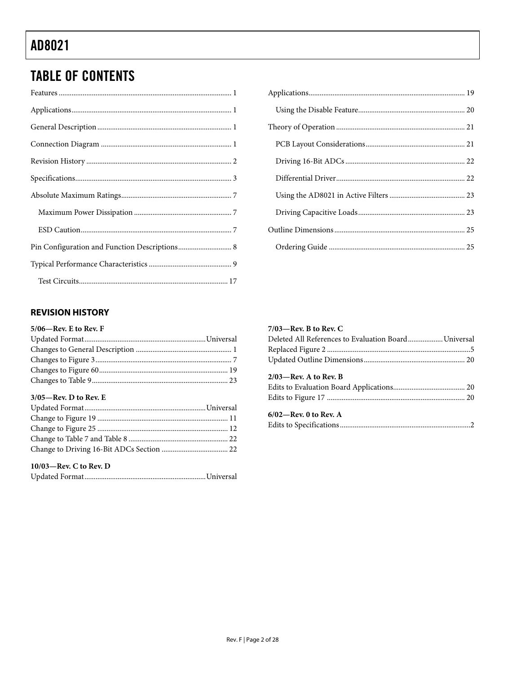# <span id="page-1-0"></span>**TABLE OF CONTENTS**

| Pin Configuration and Function Descriptions 8 |
|-----------------------------------------------|
|                                               |
|                                               |

### **REVISION HISTORY**

### 5/06-Rev. E to Rev. F

### $3/05$ —Rev. D to Rev. E

### 10/03—Rev. C to Rev. D

|--|--|

### $7/03$ –Rev. B to Rev. C

| Deleted All References to Evaluation Board Universal |  |
|------------------------------------------------------|--|
|                                                      |  |
|                                                      |  |
| $2/03$ —Rev. A to Rev. B                             |  |
|                                                      |  |
|                                                      |  |
| $6/02$ —Rev. 0 to Rev. A                             |  |
|                                                      |  |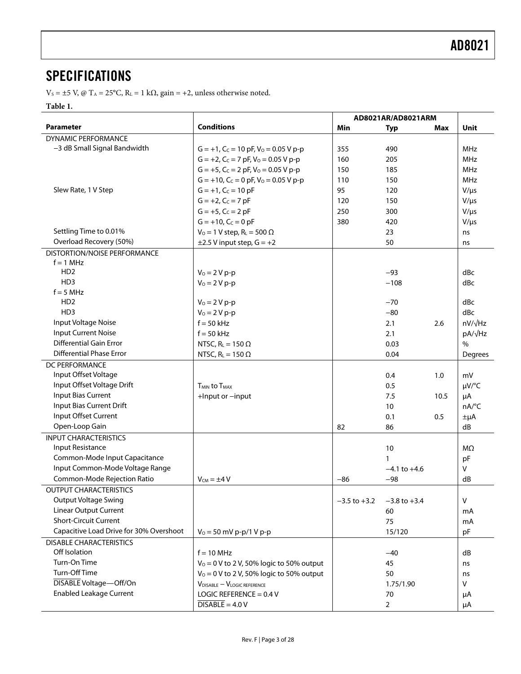### <span id="page-2-0"></span>**SPECIFICATIONS**

V<sub>S</sub> = ±5 V, @ T<sub>A</sub> = 25°C, R<sub>L</sub> = 1 kΩ, gain = +2, unless otherwise noted.

### **Table 1.**

<span id="page-2-1"></span>

|                                         |                                              | AD8021AR/AD8021ARM |                  |      |                     |
|-----------------------------------------|----------------------------------------------|--------------------|------------------|------|---------------------|
| Parameter                               | <b>Conditions</b>                            | Min                | <b>Typ</b>       | Max  | Unit                |
| DYNAMIC PERFORMANCE                     |                                              |                    |                  |      |                     |
| -3 dB Small Signal Bandwidth            | $G = +1$ , $C_C = 10$ pF, $V_0 = 0.05$ V p-p | 355                | 490              |      | MHz                 |
|                                         | $G = +2$ , $C_C = 7$ pF, $V_O = 0.05$ V p-p  | 160                | 205              |      | <b>MHz</b>          |
|                                         | $G = +5$ , $C_C = 2$ pF, $V_Q = 0.05$ V p-p  | 150                | 185              |      | <b>MHz</b>          |
|                                         | $G = +10$ , $C_C = 0$ pF, $VO = 0.05$ V p-p  | 110                | 150              |      | <b>MHz</b>          |
| Slew Rate, 1 V Step                     | $G = +1$ , $C_C = 10$ pF                     | 95                 | 120              |      | $V/\mu s$           |
|                                         | $G = +2$ , $C_C = 7$ pF                      | 120                | 150              |      | $V/\mu s$           |
|                                         | $G = +5$ , $C_C = 2$ pF                      | 250                | 300              |      | $V/\mu s$           |
|                                         | $G = +10$ , $C_C = 0$ pF                     | 380                | 420              |      | $V/\mu s$           |
| Settling Time to 0.01%                  | $V_0 = 1$ V step, $R_L = 500 \Omega$         |                    | 23               |      | ns                  |
| Overload Recovery (50%)                 | $\pm$ 2.5 V input step, G = +2               |                    | 50               |      | ns                  |
| DISTORTION/NOISE PERFORMANCE            |                                              |                    |                  |      |                     |
| $f = 1$ MHz                             |                                              |                    |                  |      |                     |
| HD <sub>2</sub>                         | $V_0 = 2 V p - p$                            |                    | $-93$            |      | dBc                 |
| HD <sub>3</sub>                         | $V_0 = 2 V p-p$                              |                    | $-108$           |      | dBc                 |
| $f = 5 MHz$                             |                                              |                    |                  |      |                     |
| HD <sub>2</sub>                         | $V_0 = 2 V p - p$                            |                    | $-70$            |      | dBc                 |
| HD <sub>3</sub>                         | $V_0 = 2 V p - p$                            |                    | $-80$            |      | dBc                 |
| Input Voltage Noise                     | $f = 50$ kHz                                 |                    | 2.1              | 2.6  | $nV/\sqrt{Hz}$      |
| <b>Input Current Noise</b>              | $f = 50$ kHz                                 |                    | 2.1              |      | pA/ $\sqrt{Hz}$     |
| <b>Differential Gain Error</b>          | NTSC, $R_L = 150 \Omega$                     |                    | 0.03             |      | $\%$                |
| <b>Differential Phase Error</b>         | NTSC, $R_L = 150 \Omega$                     |                    | 0.04             |      | Degrees             |
| DC PERFORMANCE                          |                                              |                    |                  |      |                     |
| Input Offset Voltage                    |                                              |                    | 0.4              | 1.0  | mV                  |
| Input Offset Voltage Drift              | <b>T<sub>MIN</sub></b> to T <sub>MAX</sub>   |                    | 0.5              |      | $\mu V$ /°C         |
| Input Bias Current                      | +Input or -input                             |                    | 7.5              | 10.5 | μA                  |
| Input Bias Current Drift                |                                              |                    | 10               |      | $nA$ <sup>o</sup> C |
| Input Offset Current                    |                                              |                    | 0.1              | 0.5  | $\pm \mu A$         |
| Open-Loop Gain                          |                                              | 82                 | 86               |      | dB                  |
| <b>INPUT CHARACTERISTICS</b>            |                                              |                    |                  |      |                     |
| Input Resistance                        |                                              |                    | 10               |      | MΩ                  |
| Common-Mode Input Capacitance           |                                              |                    | 1                |      | pF                  |
| Input Common-Mode Voltage Range         |                                              |                    | $-4.1$ to $+4.6$ |      | $\mathsf{V}$        |
| Common-Mode Rejection Ratio             | $V_{CM} = \pm 4 V$                           | $-86$              | $-98$            |      | dB                  |
| <b>OUTPUT CHARACTERISTICS</b>           |                                              |                    |                  |      |                     |
| <b>Output Voltage Swing</b>             |                                              | $-3.5$ to $+3.2$   | $-3.8$ to $+3.4$ |      | $\vee$              |
| <b>Linear Output Current</b>            |                                              |                    | 60               |      | mA                  |
| <b>Short-Circuit Current</b>            |                                              |                    | 75               |      | mA                  |
| Capacitive Load Drive for 30% Overshoot | $V_0 = 50$ mV p-p/1 V p-p                    |                    | 15/120           |      | pF                  |
| <b>DISABLE CHARACTERISTICS</b>          |                                              |                    |                  |      |                     |
| Off Isolation                           | $f = 10$ MHz                                 |                    | $-40$            |      | dB                  |
| Turn-On Time                            | $V_0 = 0$ V to 2 V, 50% logic to 50% output  |                    | 45               |      | ns                  |
| Turn-Off Time                           | $V_0 = 0$ V to 2 V, 50% logic to 50% output  |                    | 50               |      | ns                  |
| DISABLE Voltage-Off/On                  | $V_{DISABLE} - V_{LOGIC REFERENCE}$          |                    | 1.75/1.90        |      | V                   |
| <b>Enabled Leakage Current</b>          | LOGIC REFERENCE = $0.4$ V                    |                    | 70               |      | μA                  |
|                                         | $\overline{DISABLE} = 4.0 V$                 |                    | $\overline{2}$   |      | μA                  |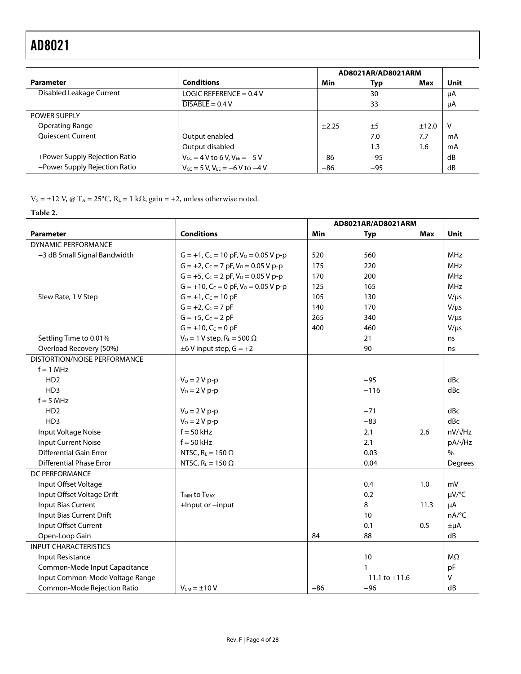|                               |                                            | AD8021AR/AD8021ARM |       |       |      |
|-------------------------------|--------------------------------------------|--------------------|-------|-------|------|
| <b>Parameter</b>              | <b>Conditions</b>                          | <b>Min</b>         | Typ   | Max   | Unit |
| Disabled Leakage Current      | LOGIC REFERENCE = $0.4$ V                  |                    | 30    |       | μA   |
|                               | $DISABLE = 0.4 V$                          |                    | 33    |       | μA   |
| <b>POWER SUPPLY</b>           |                                            |                    |       |       |      |
| Operating Range               |                                            | ±2.25              | ±5    | ±12.0 | -V   |
| <b>Oujescent Current</b>      | Output enabled                             |                    | 7.0   | 7.7   | mA   |
|                               | Output disabled                            |                    | 1.3   | 1.6   | mA   |
| +Power Supply Rejection Ratio | $V_{CC}$ = 4 V to 6 V, $V_{EE}$ = -5 V     | $-86$              | $-95$ |       | dB   |
| -Power Supply Rejection Ratio | $V_{CC} = 5 V$ , $V_{EE} = -6 V$ to $-4 V$ | $-86$              | $-95$ |       | dB   |

V<sub>S</sub> = ±12 V, @ T<sub>A</sub> = 25°C, R<sub>L</sub> = 1 k $\Omega$ , gain = +2, unless otherwise noted.

### **Table 2.**

|                                 |                                              | AD8021AR/AD8021ARM |                    |            |                     |
|---------------------------------|----------------------------------------------|--------------------|--------------------|------------|---------------------|
| <b>Parameter</b>                | <b>Conditions</b>                            | Min                | Typ                | <b>Max</b> | Unit                |
| <b>DYNAMIC PERFORMANCE</b>      |                                              |                    |                    |            |                     |
| -3 dB Small Signal Bandwidth    | $G = +1$ , $C_C = 10$ pF, $V_0 = 0.05$ V p-p | 520                | 560                |            | <b>MHz</b>          |
|                                 | $G = +2$ , $C_C = 7$ pF, $V_0 = 0.05$ V p-p  | 175                | 220                |            | <b>MHz</b>          |
|                                 | $G = +5$ , $C_C = 2$ pF, $V_O = 0.05$ V p-p  | 170                | 200                |            | MHz                 |
|                                 | $G = +10$ , $C_C = 0$ pF, $VO = 0.05$ V p-p  | 125                | 165                |            | MHz                 |
| Slew Rate, 1 V Step             | $G = +1$ , $C_C = 10$ pF                     | 105                | 130                |            | $V/\mu s$           |
|                                 | $G = +2$ , $C_C = 7$ pF                      | 140                | 170                |            | $V/\mu s$           |
|                                 | $G = +5$ , $C_C = 2$ pF                      | 265                | 340                |            | $V/\mu s$           |
|                                 | $G = +10$ , $C_C = 0$ pF                     | 400                | 460                |            | $V/\mu s$           |
| Settling Time to 0.01%          | $V_0 = 1 V$ step, $R_L = 500 \Omega$         |                    | 21                 |            | ns                  |
| Overload Recovery (50%)         | $\pm 6$ V input step, $G = +2$               |                    | 90                 |            | ns                  |
| DISTORTION/NOISE PERFORMANCE    |                                              |                    |                    |            |                     |
| $f = 1$ MHz                     |                                              |                    |                    |            |                     |
| HD <sub>2</sub>                 | $V_0 = 2 V p - p$                            |                    | $-95$              |            | dBc                 |
| H <sub>D</sub> 3                | $V_0 = 2 V p-p$                              |                    | $-116$             |            | dBc                 |
| $f = 5 MHz$                     |                                              |                    |                    |            |                     |
| H <sub>D</sub> 2                | $V_0 = 2 V p - p$                            |                    | $-71$              |            | dBc                 |
| HD <sub>3</sub>                 | $V_0 = 2 V p - p$                            |                    | $-83$              |            | dBc                 |
| Input Voltage Noise             | $f = 50$ kHz                                 |                    | 2.1                | 2.6        | $nV/\sqrt{Hz}$      |
| <b>Input Current Noise</b>      | $f = 50$ kHz                                 |                    | 2.1                |            | pA/√Hz              |
| <b>Differential Gain Error</b>  | NTSC, $R_L = 150 \Omega$                     |                    | 0.03               |            | $\frac{0}{0}$       |
| <b>Differential Phase Error</b> | NTSC, $R_L = 150 \Omega$                     |                    | 0.04               |            | Degrees             |
| DC PERFORMANCE                  |                                              |                    |                    |            |                     |
| Input Offset Voltage            |                                              |                    | 0.4                | 1.0        | mV                  |
| Input Offset Voltage Drift      | <b>TMIN to TMAX</b>                          |                    | 0.2                |            | µV/°C               |
| Input Bias Current              | +Input or -input                             |                    | 8                  | 11.3       | μA                  |
| Input Bias Current Drift        |                                              |                    | 10                 |            | $nA$ <sup>o</sup> C |
| Input Offset Current            |                                              |                    | 0.1                | 0.5        | $\pm \mu A$         |
| Open-Loop Gain                  |                                              | 84                 | 88                 |            | dB                  |
| <b>INPUT CHARACTERISTICS</b>    |                                              |                    |                    |            |                     |
| Input Resistance                |                                              |                    | 10                 |            | MΩ                  |
| Common-Mode Input Capacitance   |                                              |                    | 1                  |            | pF                  |
| Input Common-Mode Voltage Range |                                              |                    | $-11.1$ to $+11.6$ |            | v                   |
| Common-Mode Rejection Ratio     | $V_{CM} = \pm 10 V$                          | $-86$              | $-96$              |            | dB                  |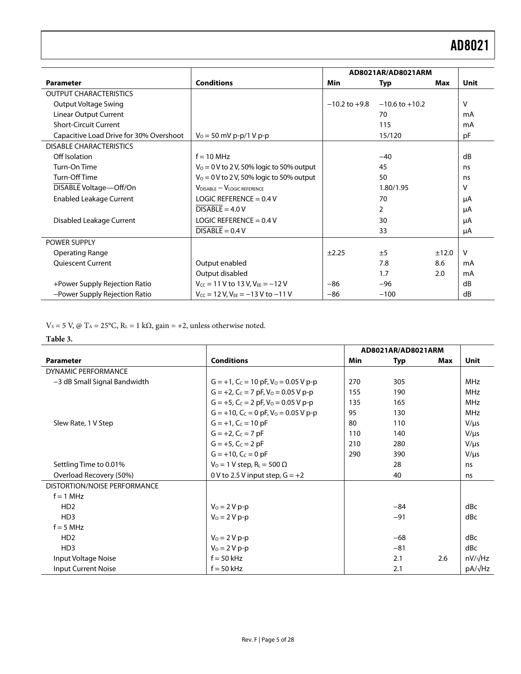|                                         |                                             | AD8021AR/AD8021ARM |                    |       |              |
|-----------------------------------------|---------------------------------------------|--------------------|--------------------|-------|--------------|
| <b>Parameter</b>                        | <b>Conditions</b>                           | Min                | Typ                | Max   | Unit         |
| <b>OUTPUT CHARACTERISTICS</b>           |                                             |                    |                    |       |              |
| Output Voltage Swing                    |                                             | $-10.2$ to $+9.8$  | $-10.6$ to $+10.2$ |       | $\vee$       |
| <b>Linear Output Current</b>            |                                             |                    | 70                 |       | mA           |
| <b>Short-Circuit Current</b>            |                                             |                    | 115                |       | mA           |
| Capacitive Load Drive for 30% Overshoot | $V_0 = 50$ mV p-p/1 V p-p                   |                    | 15/120             |       | pF           |
| <b>DISABLE CHARACTERISTICS</b>          |                                             |                    |                    |       |              |
| Off Isolation                           | $f = 10$ MHz                                |                    | $-40$              |       | dB           |
| Turn-On Time                            | $V_0 = 0$ V to 2 V, 50% logic to 50% output |                    | 45                 |       | ns           |
| Turn-Off Time                           | $V_0 = 0$ V to 2 V, 50% logic to 50% output |                    | 50                 |       | ns           |
| DISABLE Voltage-Off/On                  | $V_{DISABLE} - V_{LOGIC REFERENCE}$         |                    | 1.80/1.95          |       | v            |
| <b>Enabled Leakage Current</b>          | LOGIC REFERENCE = $0.4$ V                   |                    | 70                 |       | μA           |
|                                         | $DISABLE = 4.0 V$                           |                    | $\overline{2}$     |       | μA           |
| Disabled Leakage Current                | LOGIC REFERENCE = $0.4$ V                   |                    | 30                 |       | μA           |
|                                         | $DISABLE = 0.4 V$                           |                    | 33                 |       | μA           |
| <b>POWER SUPPLY</b>                     |                                             |                    |                    |       |              |
| <b>Operating Range</b>                  |                                             | ±2.25              | ±5                 | ±12.0 | $\mathsf{V}$ |
| <b>Quiescent Current</b>                | Output enabled                              |                    | 7.8                | 8.6   | mA           |
|                                         | Output disabled                             |                    | 1.7                | 2.0   | mA           |
| +Power Supply Rejection Ratio           | $V_{CC}$ = 11 V to 13 V, $V_{EE}$ = -12 V   | $-86$              | $-96$              |       | dB           |
| -Power Supply Rejection Ratio           | $V_{CC}$ = 12 V, $V_{EF}$ = -13 V to -11 V  | $-86$              | $-100$             |       | dB           |

V<sub>S</sub> = 5 V, @ T<sub>A</sub> = 25°C, R<sub>L</sub> = 1 kΩ, gain = +2, unless otherwise noted.

#### **Table 3.**

|                              |                                                 | AD8021AR/AD8021ARM |       |     |                |
|------------------------------|-------------------------------------------------|--------------------|-------|-----|----------------|
| <b>Parameter</b>             | <b>Conditions</b>                               | Min                | Typ   | Max | <b>Unit</b>    |
| <b>DYNAMIC PERFORMANCE</b>   |                                                 |                    |       |     |                |
| -3 dB Small Signal Bandwidth | $G = +1$ , $C_C = 10$ pF, $V_0 = 0.05$ V p-p    | 270                | 305   |     | MHz            |
|                              | $G = +2$ , $C_C = 7$ pF, $V_0 = 0.05$ V p-p     | 155                | 190   |     | MHz            |
|                              | $G = +5$ , $C_C = 2$ pF, $VO = 0.05$ V p-p      | 135                | 165   |     | <b>MHz</b>     |
|                              | $G = +10$ , $C_C = 0$ pF, $V_0 = 0.05$ V p-p    | 95                 | 130   |     | <b>MHz</b>     |
| Slew Rate, 1 V Step          | $G = +1$ , $C_C = 10$ pF                        | 80                 | 110   |     | $V/\mu s$      |
|                              | $G = +2$ , $C_C = 7$ pF                         | 110                | 140   |     | $V/\mu s$      |
|                              | $G = +5$ , $C_C = 2$ pF                         | 210                | 280   |     | $V/\mu s$      |
|                              | $G = +10$ , $C_C = 0$ pF                        | 290                | 390   |     | $V/\mu s$      |
| Settling Time to 0.01%       | $V_0 = 1 V$ step, R <sub>L</sub> = 500 $\Omega$ |                    | 28    |     | ns             |
| Overload Recovery (50%)      | 0 V to 2.5 V input step, $G = +2$               |                    | 40    |     | ns             |
| DISTORTION/NOISE PERFORMANCE |                                                 |                    |       |     |                |
| $f = 1$ MHz                  |                                                 |                    |       |     |                |
| H <sub>D</sub> <sub>2</sub>  | $V_0 = 2 V p - p$                               |                    | $-84$ |     | dBc            |
| H <sub>D</sub> 3             | $V_0 = 2 V p - p$                               |                    | $-91$ |     | dBc            |
| $f = 5 MHz$                  |                                                 |                    |       |     |                |
| H <sub>D</sub> <sub>2</sub>  | $V_0 = 2 V p - p$                               |                    | $-68$ |     | dBc            |
| H <sub>D</sub> 3             | $V_0 = 2 V p - p$                               |                    | $-81$ |     | dBc            |
| Input Voltage Noise          | $f = 50$ kHz                                    |                    | 2.1   | 2.6 | $nV/\sqrt{Hz}$ |
| <b>Input Current Noise</b>   | $f = 50$ kHz                                    |                    | 2.1   |     | pA/√Hz         |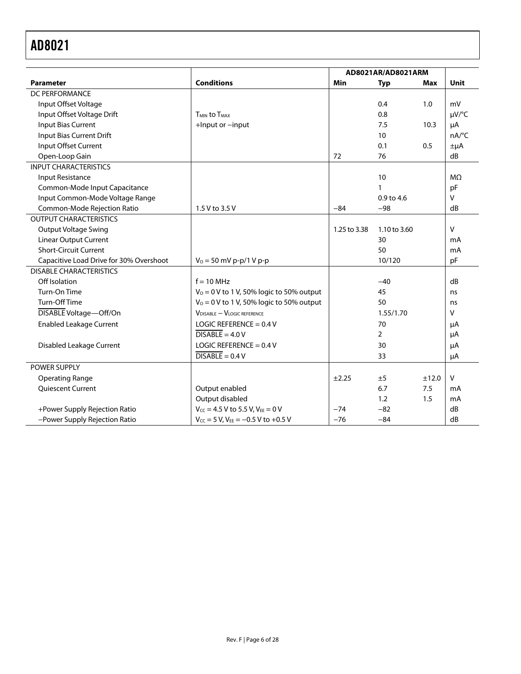|                                         |                                             | AD8021AR/AD8021ARM |                |       |                |
|-----------------------------------------|---------------------------------------------|--------------------|----------------|-------|----------------|
| <b>Parameter</b>                        | <b>Conditions</b>                           | Min                | <b>Typ</b>     | Max   | Unit           |
| DC PERFORMANCE                          |                                             |                    |                |       |                |
| Input Offset Voltage                    |                                             |                    | 0.4            | 1.0   | mV             |
| Input Offset Voltage Drift              | <b>TMIN to TMAX</b>                         |                    | 0.8            |       | µV/°C          |
| <b>Input Bias Current</b>               | +Input or -input                            |                    | 7.5            | 10.3  | μA             |
| Input Bias Current Drift                |                                             |                    | 10             |       | nA/°C          |
| Input Offset Current                    |                                             |                    | 0.1            | 0.5   | $\pm \mu A$    |
| Open-Loop Gain                          |                                             | 72                 | 76             |       | dB             |
| <b>INPUT CHARACTERISTICS</b>            |                                             |                    |                |       |                |
| Input Resistance                        |                                             |                    | 10             |       | M <sub>2</sub> |
| Common-Mode Input Capacitance           |                                             |                    | $\mathbf{1}$   |       | pF             |
| Input Common-Mode Voltage Range         |                                             |                    | $0.9$ to 4.6   |       | V              |
| Common-Mode Rejection Ratio             | 1.5 V to 3.5 V                              | $-84$              | $-98$          |       | dB             |
| <b>OUTPUT CHARACTERISTICS</b>           |                                             |                    |                |       |                |
| <b>Output Voltage Swing</b>             |                                             | 1.25 to 3.38       | 1.10 to 3.60   |       | v              |
| <b>Linear Output Current</b>            |                                             |                    | 30             |       | mA             |
| <b>Short-Circuit Current</b>            |                                             |                    | 50             |       | mA             |
| Capacitive Load Drive for 30% Overshoot | $V_0 = 50$ mV p-p/1 V p-p                   |                    | 10/120         |       | pF             |
| <b>DISABLE CHARACTERISTICS</b>          |                                             |                    |                |       |                |
| Off Isolation                           | $f = 10$ MHz                                |                    | $-40$          |       | dB             |
| Turn-On Time                            | $V_0 = 0$ V to 1 V, 50% logic to 50% output |                    | 45             |       | ns             |
| Turn-Off Time                           | $V_0 = 0$ V to 1 V, 50% logic to 50% output |                    | 50             |       | ns             |
| DISABLE Voltage-Off/On                  | $V_{DISABLE} - V_{LOGIC REFERENCE}$         |                    | 1.55/1.70      |       | v              |
| <b>Enabled Leakage Current</b>          | LOGIC REFERENCE = $0.4$ V                   |                    | 70             |       | μA             |
|                                         | $\overline{DISABLE} = 4.0 V$                |                    | $\overline{2}$ |       | μA             |
| <b>Disabled Leakage Current</b>         | LOGIC REFERENCE = $0.4$ V                   |                    | 30             |       | μA             |
|                                         | $\overline{DISABLE} = 0.4 V$                |                    | 33             |       | μA             |
| POWER SUPPLY                            |                                             |                    |                |       |                |
| <b>Operating Range</b>                  |                                             | ±2.25              | ±5             | ±12.0 | V              |
| <b>Oujescent Current</b>                | Output enabled                              |                    | 6.7            | 7.5   | mA             |
|                                         | Output disabled                             |                    | 1.2            | 1.5   | mA             |
| +Power Supply Rejection Ratio           | $V_{CC} = 4.5 V$ to 5.5 V, $V_{EE} = 0 V$   | $-74$              | $-82$          |       | dB             |
| -Power Supply Rejection Ratio           | $V_{CC}$ = 5 V, $V_{EE}$ = -0.5 V to +0.5 V | $-76$              | $-84$          |       | dB             |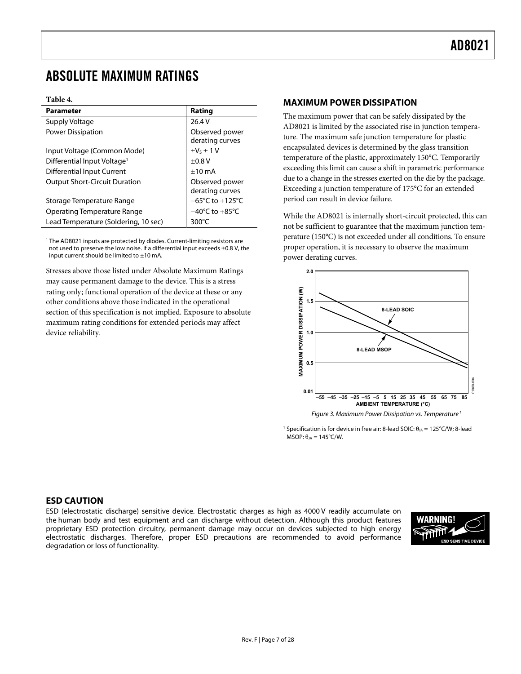### <span id="page-6-0"></span>ABSOLUTE MAXIMUM RATINGS

#### **Table 4.**

| <b>Parameter</b>                        | Rating                              |
|-----------------------------------------|-------------------------------------|
| Supply Voltage                          | 26.4 V                              |
| Power Dissipation                       | Observed power<br>derating curves   |
| Input Voltage (Common Mode)             | $\pm V_5 \pm 1 V$                   |
| Differential Input Voltage <sup>1</sup> | $\pm 0.8$ V                         |
| Differential Input Current              | $±10$ mA                            |
| <b>Output Short-Circuit Duration</b>    | Observed power<br>derating curves   |
| Storage Temperature Range               | $-65^{\circ}$ C to $+125^{\circ}$ C |
| Operating Temperature Range             | $-40^{\circ}$ C to $+85^{\circ}$ C  |
| Lead Temperature (Soldering, 10 sec)    | $300^{\circ}$ C                     |

<sup>1</sup> The AD8021 inputs are protected by diodes. Current-limiting resistors are not used to preserve the low noise. If a differential input exceeds ±0.8 V, the input current should be limited to ±10 mA.

Stresses above those listed under Absolute Maximum Ratings may cause permanent damage to the device. This is a stress rating only; functional operation of the device at these or any other conditions above those indicated in the operational section of this specification is not implied. Exposure to absolute maximum rating conditions for extended periods may affect device reliability.

### **MAXIMUM POWER DISSIPATION**

The maximum power that can be safely dissipated by the AD8021 is limited by the associated rise in junction temperature. The maximum safe junction temperature for plastic encapsulated devices is determined by the glass transition temperature of the plastic, approximately 150°C. Temporarily exceeding this limit can cause a shift in parametric performance due to a change in the stresses exerted on the die by the package. Exceeding a junction temperature of 175°C for an extended period can result in device failure.

While the AD8021 is internally short-circuit protected, this can not be sufficient to guarantee that the maximum junction temperature (150°C) is not exceeded under all conditions. To ensure proper operation, it is necessary to observe the maximum power derating curves.



Figure 3. Maximum Power Dissipation vs. Temperature<sup>[1](#page-6-0)</sup>

<sup>1</sup> Specification is for device in free air: 8-lead SOIC:  $\theta_{JA} = 125^{\circ}$ C/W; 8-lead MSOP:  $\theta_{JA} = 145^{\circ}$ C/W.

### **ESD CAUTION**

ESD (electrostatic discharge) sensitive device. Electrostatic charges as high as 4000 V readily accumulate on the human body and test equipment and can discharge without detection. Although this product features proprietary ESD protection circuitry, permanent damage may occur on devices subjected to high energy electrostatic discharges. Therefore, proper ESD precautions are recommended to avoid performance degradation or loss of functionality.

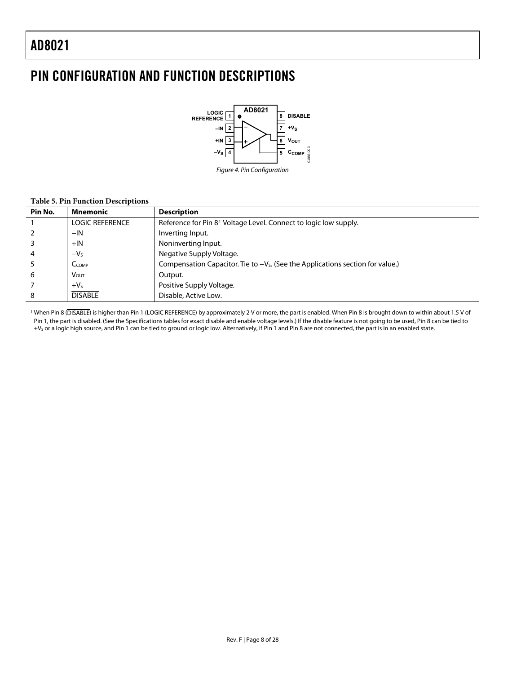j.

Ĭ.

# <span id="page-7-0"></span>PIN CONFIGURATION AND FUNCTION DESCRIPTIONS



### **Table 5. Pin Function Descriptions**

| Pin No.        | <b>Mnemonic</b>         | <b>Description</b>                                                                |
|----------------|-------------------------|-----------------------------------------------------------------------------------|
|                | <b>LOGIC REFERENCE</b>  | Reference for Pin 8 <sup>1</sup> Voltage Level. Connect to logic low supply.      |
| $\overline{2}$ | $-IN$                   | Inverting Input.                                                                  |
| 3              | $+IN$                   | Noninverting Input.                                                               |
| $\overline{4}$ | $-VS$                   | Negative Supply Voltage.                                                          |
|                | $C_{COMP}$              | Compensation Capacitor. Tie to $-V_s$ . (See the Applications section for value.) |
| 6              | <b>V</b> <sub>OUT</sub> | Output.                                                                           |
|                | $+VS$                   | Positive Supply Voltage.                                                          |
| 8              | <b>DISABLE</b>          | Disable, Active Low.                                                              |

1 When Pin 8 (DISABLE) is higher than Pin 1 (LOGIC REFERENCE) by approximately 2 V or more, the part is enabled. When Pin 8 is brought down to within about 1.5 V of Pin 1, the part is disabled. (See the Specifications tables for exact disable and enable voltage levels.) If the disable feature is not going to be used, Pin 8 can be tied to +VS or a logic high source, and Pin 1 can be tied to ground or logic low. Alternatively, if Pin 1 and Pin 8 are not connected, the part is in an enabled state.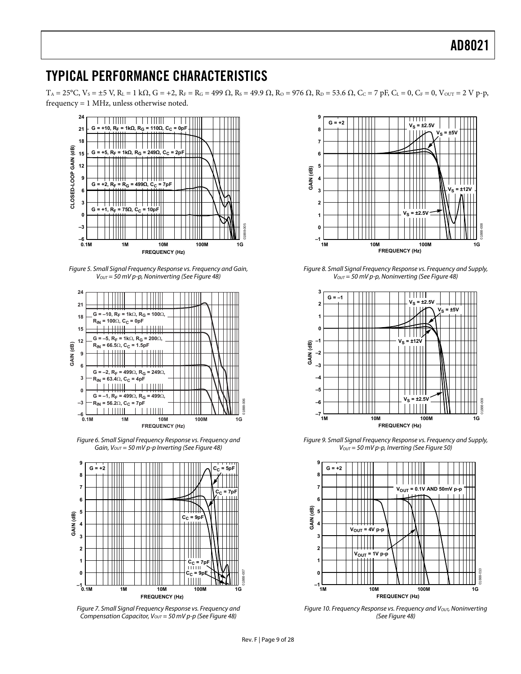### <span id="page-8-0"></span>TYPICAL PERFORMANCE CHARACTERISTICS

 $T_A = 25^{\circ}C$ ,  $V_s = \pm 5$  V,  $R_L = 1$  kΩ,  $G = +2$ ,  $R_F = R_G = 499$  Ω,  $R_S = 49.9$  Ω,  $R_O = 976$  Ω,  $R_D = 53.6$  Ω,  $C_C = 7$  pF,  $C_L = 0$ ,  $C_F = 0$ ,  $V_{\text{OUT}} = 2$  V p-p, frequency = 1 MHz, unless otherwise noted.



Figure 5. Small Signal Frequency Response vs. Frequency and Gain,  $V_{OUT} = 50$  mV p-p, Noninverting (See [Figure 48](#page-16-1))



Figure 6. Small Signal Frequency Response vs. Frequency and Gain,  $V_{OUT} = 50$  mV p-p Inverting (See [Figure 48\)](#page-16-1)



<span id="page-8-1"></span>Figure 7. Small Signal Frequency Response vs. Frequency and Compensation Capacitor,  $V_{OUT} = 50$  mV p-p (See [Figure 48\)](#page-16-1)



Figure 8. Small Signal Frequency Response vs. Frequency and Supply,  $V_{OUT}$  = 50 mV p-p, Noninverting (See [Figure 48](#page-16-1))



Figure 9. Small Signal Frequency Response vs. Frequency and Supply,  $V_{OUT}$  = 50 mV p-p, Inverting (See [Figure 50](#page-16-2))



Figure 10. Frequency Response vs. Frequency and  $V<sub>OUT</sub>$ , Noninverting (See [Figure 48](#page-16-1))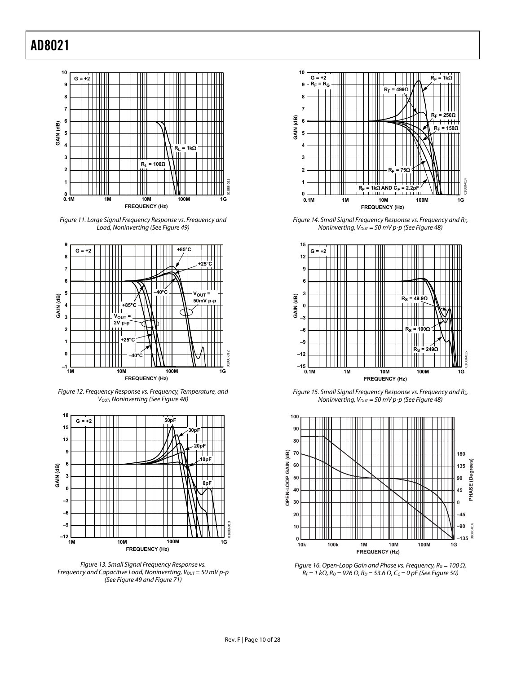

Figure 11. Large Signal Frequency Response vs. Frequency and Load, Noninverting (See [Figure 49](#page-16-3))

<span id="page-9-0"></span>

Figure 12. Frequency Response vs. Frequency, Temperature, and V<sub>OUT</sub>, Noninverting (See [Figure 48](#page-16-1))

<span id="page-9-1"></span>

Figure 13. Small Signal Frequency Response vs. Frequency and Capacitive Load, Noninverting,  $V_{OUT} = 50$  mV p-p (See [Figure 49](#page-16-3) and [Figure 71](#page-23-0))



Figure 14. Small Signal Frequency Response vs. Frequency and RF, Noninverting,  $V_{OUT} = 50$  mV p-p (See [Figure 48](#page-16-1))



Figure 15. Small Signal Frequency Response vs. Frequency and RS, Noninverting,  $V_{OUT} = 50$  mV p-p (See [Figure 48](#page-16-1))



Figure 16. Open-Loop Gain and Phase vs. Frequency,  $R_G = 100 \Omega$ ,  $R_F = 1$  kΩ,  $R_O = 976$  Ω,  $R_D = 53.6$  Ω,  $C_C = 0$  pF (See [Figure 50\)](#page-16-2)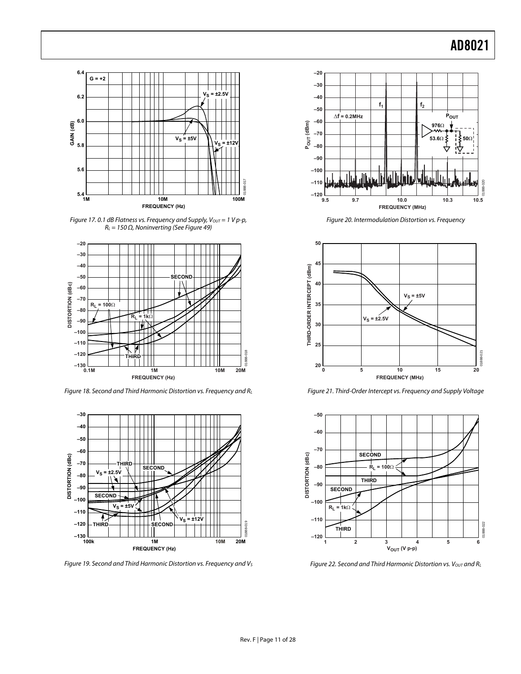

Figure 17.0.1 dB Flatness vs. Frequency and Supply,  $V_{OUT} = 1 V p-p$ ,  $R_L = 150 \Omega$ , Noninverting (See [Figure 49\)](#page-16-3)



Figure 18. Second and Third Harmonic Distortion vs. Frequency and RL



<span id="page-10-1"></span><span id="page-10-0"></span>Figure 19. Second and Third Harmonic Distortion vs. Frequency and Vs



Figure 20. Intermodulation Distortion vs. Frequency



Figure 21. Third-Order Intercept vs. Frequency and Supply Voltage



Figure 22. Second and Third Harmonic Distortion vs.  $V_{OUT}$  and  $R_L$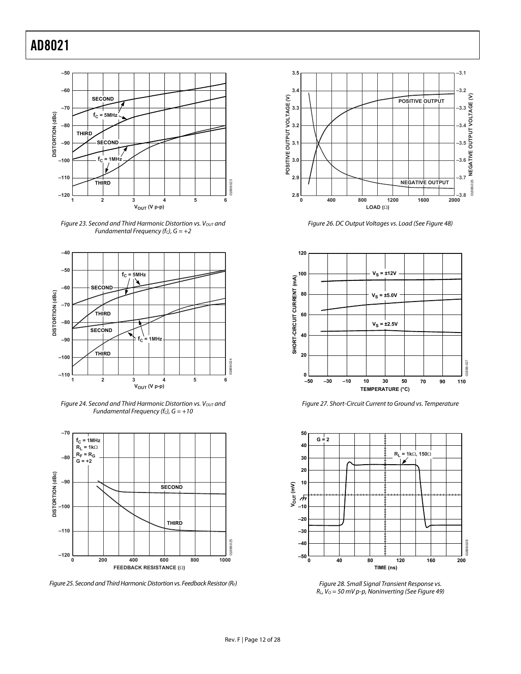

Figure 23. Second and Third Harmonic Distortion vs. Vout and Fundamental Frequency (fc),  $G = +2$ 



Figure 24. Second and Third Harmonic Distortion vs.  $V_{OUT}$  and Fundamental Frequency (fc),  $G = +10$ 



Figure 25. Second and Third Harmonic Distortion vs. Feedback Resistor (RF)



Figure 26. DC Output Voltages vs. Load (See [Figure 48](#page-16-1))



Figure 27. Short-Circuit Current to Ground vs. Temperature



Figure 28. Small Signal Transient Response vs.  $R_L$ ,  $V_0 = 50$  mV p-p, Noninverting (See [Figure 49](#page-16-3))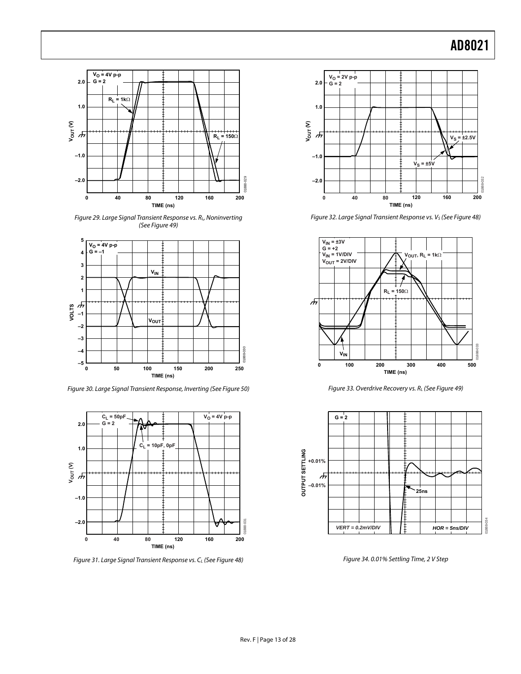

Figure 29. Large Signal Transient Response vs. RL, Noninverting (See [Figure 49](#page-16-3))



Figure 30. Large Signal Transient Response, Inverting (See [Figure 50\)](#page-16-2)



Figure 31. Large Signal Transient Response vs. CL (See [Figure 48\)](#page-16-1)



Figure 32. Large Signal Transient Response vs. V<sub>S</sub> (See [Figure 48\)](#page-16-1)



Figure 33. Overdrive Recovery vs. RL (See [Figure 49](#page-16-3))



Figure 34. 0.01% Settling Time, 2 V Step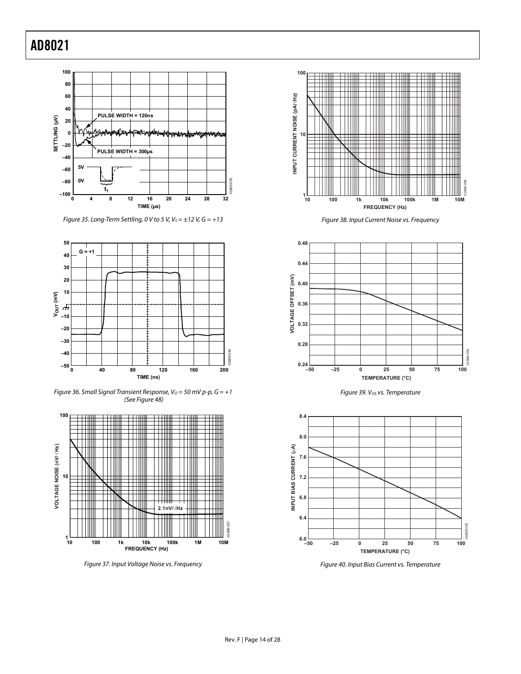

Figure 35. Long-Term Settling, 0 V to 5 V,  $V_s = \pm 12$  V,  $G = +13$ 



Figure 36. Small Signal Transient Response,  $V_0 = 50$  mV p-p,  $G = +1$ (See [Figure 48\)](#page-16-1)



Figure 37. Input Voltage Noise vs. Frequency



Figure 38. Input Current Noise vs. Frequency



Figure 39. V<sub>os</sub> vs. Temperature



Figure 40. Input Bias Current vs. Temperature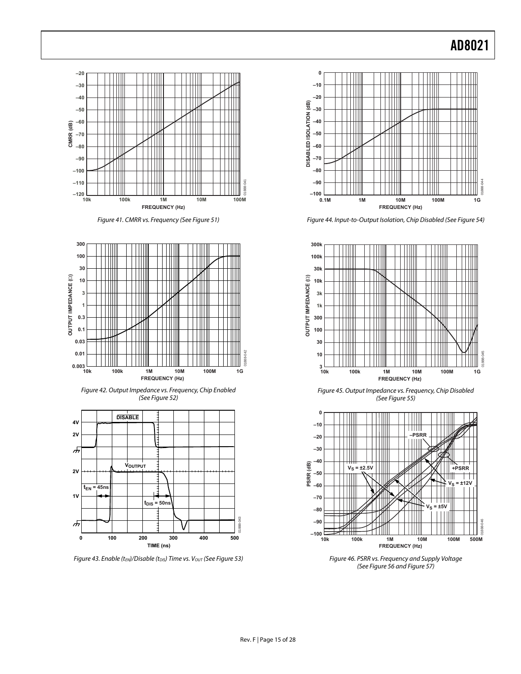

Figure 44. Input-to-Output Isolation, Chip Disabled (See [Figure 54](#page-16-5))



Figure 45. Output Impedance vs. Frequency, Chip Disabled (See [Figure 55](#page-16-6))



Figure 46. PSRR vs. Frequency and Supply Voltage (See [Figure 56](#page-17-0) and [Figure 57](#page-17-0))



Figure 41. CMRR vs. Frequency (See [Figure 51\)](#page-16-4)



Figure 42. Output Impedance vs. Frequency, Chip Enabled (See [Figure 52](#page-16-1))



Figure 43. Enable (t<sub>EN</sub>)/Disable (t<sub>DIS</sub>) Time vs. V<sub>OUT</sub> (See [Figure 53](#page-16-3))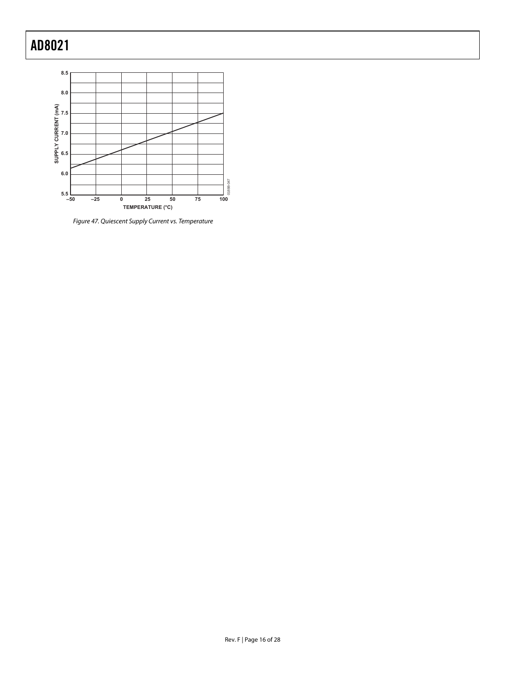

Figure 47. Quiescent Supply Current vs. Temperature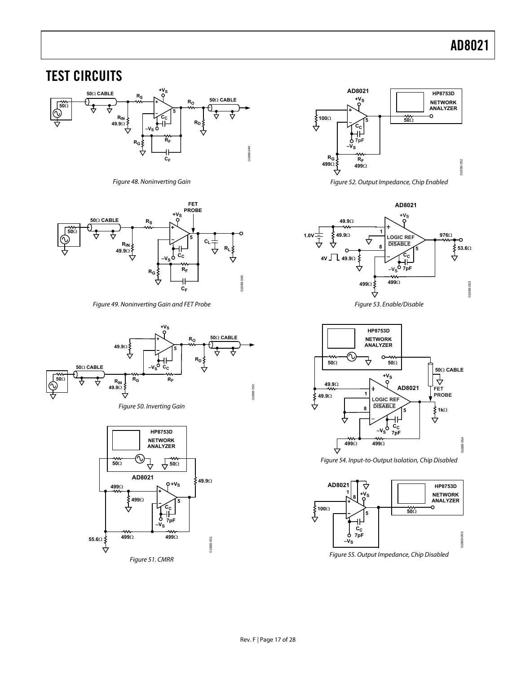### <span id="page-16-0"></span>TEST CIRCUITS



Figure 48. Noninverting Gain

<span id="page-16-1"></span>

Figure 49. Noninverting Gain and FET Probe

<span id="page-16-3"></span>

Figure 50. Inverting Gain

<span id="page-16-6"></span><span id="page-16-5"></span><span id="page-16-4"></span><span id="page-16-2"></span>



Figure 52. Output Impedance, Chip Enabled





Figure 54. Input-to-Output Isolation, Chip Disabled



Figure 55. Output Impedance, Chip Disabled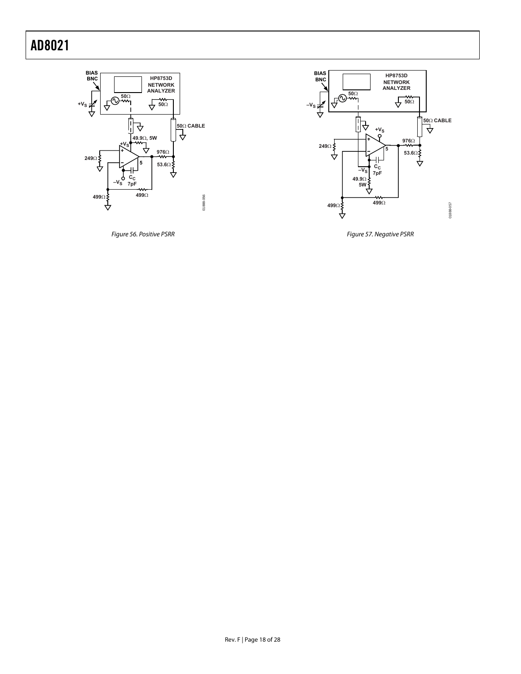

<span id="page-17-0"></span>Figure 56. Positive PSRR



Figure 57. Negative PSRR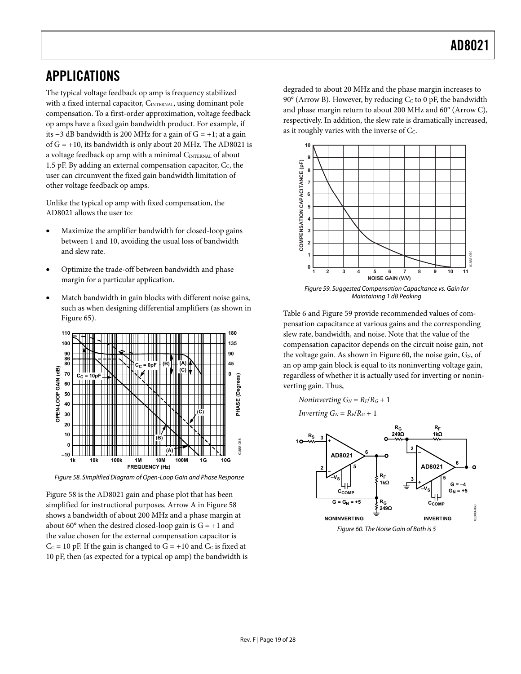### <span id="page-18-1"></span><span id="page-18-0"></span>APPLICATIONS

The typical voltage feedback op amp is frequency stabilized with a fixed internal capacitor, CINTERNAL, using dominant pole compensation. To a first-order approximation, voltage feedback op amps have a fixed gain bandwidth product. For example, if its −3 dB bandwidth is 200 MHz for a gain of G = +1; at a gain of  $G = +10$ , its bandwidth is only about 20 MHz. The AD8021 is a voltage feedback op amp with a minimal CINTERNAL of about 1.5 pF. By adding an external compensation capacitor,  $C_c$ , the user can circumvent the fixed gain bandwidth limitation of other voltage feedback op amps.

Unlike the typical op amp with fixed compensation, the AD8021 allows the user to:

- Maximize the amplifier bandwidth for closed-loop gains between 1 and 10, avoiding the usual loss of bandwidth and slew rate.
- Optimize the trade-off between bandwidth and phase margin for a particular application.
- <span id="page-18-3"></span>• Match bandwidth in gain blocks with different noise gains, such as when designing differential amplifiers (as shown in [Figure 65](#page-21-1)).



Figure 58. Simplified Diagram of Open-Loop Gain and Phase Response

<span id="page-18-4"></span><span id="page-18-2"></span>[Figure 58](#page-18-2) is the AD8021 gain and phase plot that has been simplified for instructional purposes. Arrow A in [Figure 58](#page-18-2) shows a bandwidth of about 200 MHz and a phase margin at about 60 $\degree$  when the desired closed-loop gain is  $G = +1$  and the value chosen for the external compensation capacitor is  $C<sub>C</sub> = 10$  pF. If the gain is changed to  $G = +10$  and  $C<sub>C</sub>$  is fixed at 10 pF, then (as expected for a typical op amp) the bandwidth is degraded to about 20 MHz and the phase margin increases to 90 $\degree$  (Arrow B). However, by reducing C<sub>c</sub> to 0 pF, the bandwidth and phase margin return to about 200 MHz and 60° (Arrow C), respectively. In addition, the slew rate is dramatically increased, as it roughly varies with the inverse of C<sub>c</sub>.



[Table 6](#page-19-1) and [Figure 59](#page-18-3) provide recommended values of compensation capacitance at various gains and the corresponding slew rate, bandwidth, and noise. Note that the value of the compensation capacitor depends on the circuit noise gain, not the voltage gain. As shown in [Figure 60](#page-18-4), the noise gain,  $G_N$ , of an op amp gain block is equal to its noninverting voltage gain, regardless of whether it is actually used for inverting or noninverting gain. Thus,

*Noninverting*  $G_N = R_F/R_G + 1$ 

$$
Inverting\ G_N=R_F/R_G+1
$$

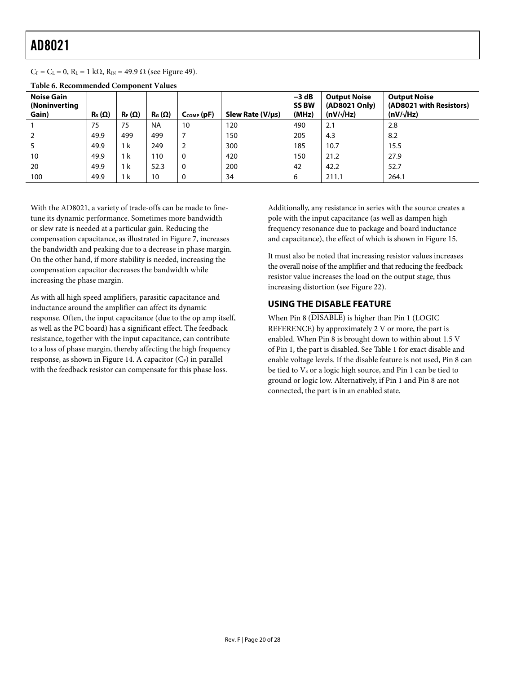<span id="page-19-0"></span> $C_F = C_L = 0$ ,  $R_L = 1$  k $\Omega$ ,  $R_{IN} = 49.9 \Omega$  (see [Figure 49](#page-16-3)).

| <b>Noise Gain</b><br>(Noninverting<br>Gain) | $\mathsf{R}_{\mathsf{S}}\left(\mathsf{\Omega}\right)$ | $R_F(\Omega)$ | $R_G(\Omega)$ | $C_{COMP}$ (pF) | Slew Rate (V/us) | $-3$ dB<br><b>SS BW</b><br>(MHz) | <b>Output Noise</b><br>(AD8021 Only)<br>$(nV/\sqrt{Hz})$ | <b>Output Noise</b><br>(AD8021 with Resistors)<br>$(nV/\sqrt{Hz})$ |
|---------------------------------------------|-------------------------------------------------------|---------------|---------------|-----------------|------------------|----------------------------------|----------------------------------------------------------|--------------------------------------------------------------------|
|                                             | 75                                                    | 75            | <b>NA</b>     | 10              | 120              | 490                              | 2.1                                                      | 2.8                                                                |
| $\overline{2}$                              | 49.9                                                  | 499           | 499           |                 | 150              | 205                              | 4.3                                                      | 8.2                                                                |
| 5                                           | 49.9                                                  | 1 k           | 249           | 2               | 300              | 185                              | 10.7                                                     | 15.5                                                               |
| 10                                          | 49.9                                                  | 1 k           | 110           | 0               | 420              | 150                              | 21.2                                                     | 27.9                                                               |
| 20                                          | 49.9                                                  | 1 k           | 52.3          | 0               | 200              | 42                               | 42.2                                                     | 52.7                                                               |
| 100                                         | 49.9                                                  | 1 k           | 10            | 0               | 34               | 6                                | 211.1                                                    | 264.1                                                              |

<span id="page-19-1"></span>**Table 6. Recommended Component Values** 

With the AD8021, a variety of trade-offs can be made to finetune its dynamic performance. Sometimes more bandwidth or slew rate is needed at a particular gain. Reducing the compensation capacitance, as illustrated in [Figure 7,](#page-8-1) increases the bandwidth and peaking due to a decrease in phase margin. On the other hand, if more stability is needed, increasing the compensation capacitor decreases the bandwidth while increasing the phase margin.

As with all high speed amplifiers, parasitic capacitance and inductance around the amplifier can affect its dynamic response. Often, the input capacitance (due to the op amp itself, as well as the PC board) has a significant effect. The feedback resistance, together with the input capacitance, can contribute to a loss of phase margin, thereby affecting the high frequency response, as shown in [Figure 14](#page-9-0). A capacitor  $(C_F)$  in parallel with the feedback resistor can compensate for this phase loss.

Additionally, any resistance in series with the source creates a pole with the input capacitance (as well as dampen high frequency resonance due to package and board inductance and capacitance), the effect of which is shown in [Figure 15.](#page-9-1)

It must also be noted that increasing resistor values increases the overall noise of the amplifier and that reducing the feedback resistor value increases the load on the output stage, thus increasing distortion (see [Figure 22](#page-10-0)).

### **USING THE DISABLE FEATURE**

When Pin 8 (DISABLE) is higher than Pin 1 (LOGIC REFERENCE) by approximately 2 V or more, the part is enabled. When Pin 8 is brought down to within about 1.5 V of Pin 1, the part is disabled. See [Table 1](#page-2-1) for exact disable and enable voltage levels. If the disable feature is not used, Pin 8 can be tied to Vs or a logic high source, and Pin 1 can be tied to ground or logic low. Alternatively, if Pin 1 and Pin 8 are not connected, the part is in an enabled state.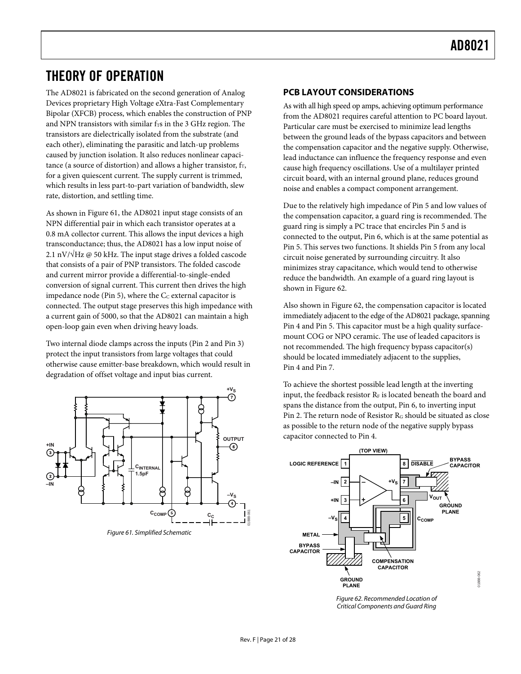### <span id="page-20-0"></span>THEORY OF OPERATION

The AD8021 is fabricated on the second generation of Analog Devices proprietary High Voltage eXtra-Fast Complementary Bipolar (XFCB) process, which enables the construction of PNP and NPN transistors with similar  $f<sub>T</sub>$ s in the 3 GHz region. The transistors are dielectrically isolated from the substrate (and each other), eliminating the parasitic and latch-up problems caused by junction isolation. It also reduces nonlinear capacitance (a source of distortion) and allows a higher transistor,  $f_T$ , for a given quiescent current. The supply current is trimmed, which results in less part-to-part variation of bandwidth, slew rate, distortion, and settling time.

As shown in [Figure 61,](#page-20-1) the AD8021 input stage consists of an NPN differential pair in which each transistor operates at a 0.8 mA collector current. This allows the input devices a high transconductance; thus, the AD8021 has a low input noise of 2.1 nV/ $\sqrt{Hz}$  @ 50 kHz. The input stage drives a folded cascode that consists of a pair of PNP transistors. The folded cascode and current mirror provide a differential-to-single-ended conversion of signal current. This current then drives the high impedance node (Pin 5), where the  $C_C$  external capacitor is connected. The output stage preserves this high impedance with a current gain of 5000, so that the AD8021 can maintain a high open-loop gain even when driving heavy loads.

Two internal diode clamps across the inputs (Pin 2 and Pin 3) protect the input transistors from large voltages that could otherwise cause emitter-base breakdown, which would result in degradation of offset voltage and input bias current.



<span id="page-20-2"></span><span id="page-20-1"></span>Figure 61. Simplified Schematic

### **PCB LAYOUT CONSIDERATIONS**

As with all high speed op amps, achieving optimum performance from the AD8021 requires careful attention to PC board layout. Particular care must be exercised to minimize lead lengths between the ground leads of the bypass capacitors and between the compensation capacitor and the negative supply. Otherwise, lead inductance can influence the frequency response and even cause high frequency oscillations. Use of a multilayer printed circuit board, with an internal ground plane, reduces ground noise and enables a compact component arrangement.

Due to the relatively high impedance of Pin 5 and low values of the compensation capacitor, a guard ring is recommended. The guard ring is simply a PC trace that encircles Pin 5 and is connected to the output, Pin 6, which is at the same potential as Pin 5. This serves two functions. It shields Pin 5 from any local circuit noise generated by surrounding circuitry. It also minimizes stray capacitance, which would tend to otherwise reduce the bandwidth. An example of a guard ring layout is shown in [Figure 62](#page-20-2).

Also shown in [Figure 62](#page-20-2), the compensation capacitor is located immediately adjacent to the edge of the AD8021 package, spanning Pin 4 and Pin 5. This capacitor must be a high quality surfacemount COG or NPO ceramic. The use of leaded capacitors is not recommended. The high frequency bypass capacitor(s) should be located immediately adjacent to the supplies, Pin 4 and Pin 7.

To achieve the shortest possible lead length at the inverting input, the feedback resistor  $R_F$  is located beneath the board and spans the distance from the output, Pin 6, to inverting input Pin 2. The return node of Resistor R<sub>G</sub> should be situated as close as possible to the return node of the negative supply bypass capacitor connected to Pin 4.



Figure 62. Recommended Location of Critical Components and Guard Ring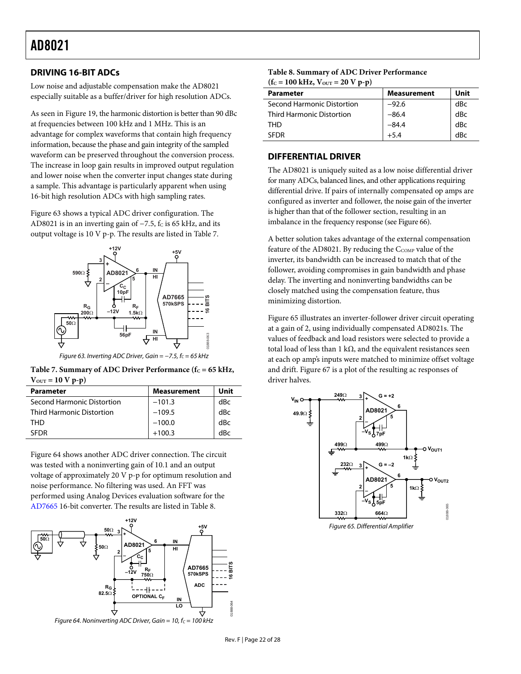### <span id="page-21-5"></span><span id="page-21-0"></span>**DRIVING 16-BIT ADCs**

Low noise and adjustable compensation make the AD8021 especially suitable as a buffer/driver for high resolution ADCs.

As seen in [Figure 19](#page-10-1), the harmonic distortion is better than 90 dBc at frequencies between 100 kHz and 1 MHz. This is an advantage for complex waveforms that contain high frequency information, because the phase and gain integrity of the sampled waveform can be preserved throughout the conversion process. The increase in loop gain results in improved output regulation and lower noise when the converter input changes state during a sample. This advantage is particularly apparent when using 16-bit high resolution ADCs with high sampling rates.

[Figure 63](#page-21-2) shows a typical ADC driver configuration. The AD8021 is in an inverting gain of  $-7.5$ ,  $f<sub>C</sub>$  is 65 kHz, and its output voltage is 10 V p-p. The results are listed in [Table 7](#page-21-3).



Figure 63. Inverting ADC Driver, Gain =  $-7.5$ ,  $f_c = 65$  kHz

<span id="page-21-3"></span><span id="page-21-2"></span>Table 7. Summary of ADC Driver Performance (f<sub>C</sub> = 65 kHz,  $V_{\text{OUT}} = 10 V p - p$ 

| <b>Parameter</b>                 | <b>Measurement</b> | Unit |
|----------------------------------|--------------------|------|
| Second Harmonic Distortion       | $-101.3$           | dBc  |
| <b>Third Harmonic Distortion</b> | $-109.5$           | dBc  |
| THD                              | $-100.0$           | dBc  |
| <b>SEDR</b>                      | $+100.3$           | dBc  |

[Figure 64](#page-21-4) shows another ADC driver connection. The circuit was tested with a noninverting gain of 10.1 and an output voltage of approximately 20 V p-p for optimum resolution and noise performance. No filtering was used. An FFT was performed using Analog Devices evaluation software for the [AD7665](http://www.analog.com/en/prod/0%2C2877%2CAD7665%2C00.html) 16-bit converter. The results are listed in [Table 8](#page-21-5).

<span id="page-21-4"></span><span id="page-21-1"></span>

| Table 8. Summary of ADC Driver Performance |
|--------------------------------------------|
| $(fC = 100 kHz, VOUT = 20 V p-p)$          |

| <b>Parameter</b>                 | <b>Measurement</b> | Unit |
|----------------------------------|--------------------|------|
| Second Harmonic Distortion       | $-92.6$            | dBc  |
| <b>Third Harmonic Distortion</b> | $-86.4$            | dBc  |
| THD                              | $-84.4$            | dBc  |
| <b>SEDR</b>                      | +54                | dBc  |

### **DIFFERENTIAL DRIVER**

The AD8021 is uniquely suited as a low noise differential driver for many ADCs, balanced lines, and other applications requiring differential drive. If pairs of internally compensated op amps are configured as inverter and follower, the noise gain of the inverter is higher than that of the follower section, resulting in an imbalance in the frequency response (see [Figure 66](#page-22-1)).

A better solution takes advantage of the external compensation feature of the AD8021. By reducing the  $C_{COMP}$  value of the inverter, its bandwidth can be increased to match that of the follower, avoiding compromises in gain bandwidth and phase delay. The inverting and noninverting bandwidths can be closely matched using the compensation feature, thus minimizing distortion.

[Figure 65](#page-21-1) illustrates an inverter-follower driver circuit operating at a gain of 2, using individually compensated AD8021s. The values of feedback and load resistors were selected to provide a total load of less than 1 kΩ, and the equivalent resistances seen at each op amp's inputs were matched to minimize offset voltage and drift. [Figure 67](#page-22-2) is a plot of the resulting ac responses of driver halves.



Figure 65. Differential Amplifier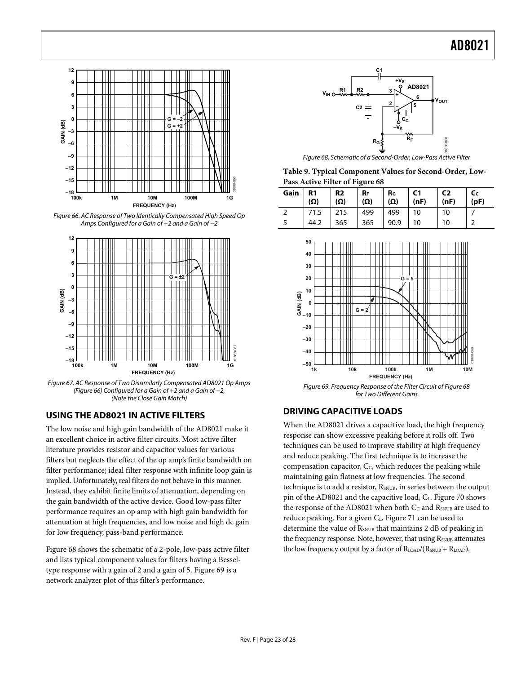<span id="page-22-0"></span>

<span id="page-22-3"></span><span id="page-22-1"></span>Figure 66. AC Response of Two Identically Compensated High Speed Op Amps Configured for a Gain of +2 and a Gain of −2



<span id="page-22-4"></span><span id="page-22-2"></span>Figure 67. AC Response of Two Dissimilarly Compensated AD8021 Op Amps ([Figure 66](#page-22-1)) Configured for a Gain of +2 and a Gain of −2, (Note the Close Gain Match)

### **USING THE AD8021 IN ACTIVE FILTERS**

The low noise and high gain bandwidth of the AD8021 make it an excellent choice in active filter circuits. Most active filter literature provides resistor and capacitor values for various filters but neglects the effect of the op amp's finite bandwidth on filter performance; ideal filter response with infinite loop gain is implied. Unfortunately, real filters do not behave in this manner. Instead, they exhibit finite limits of attenuation, depending on the gain bandwidth of the active device. Good low-pass filter performance requires an op amp with high gain bandwidth for attenuation at high frequencies, and low noise and high dc gain for low frequency, pass-band performance.

[Figure 68](#page-22-3) shows the schematic of a 2-pole, low-pass active filter and lists typical component values for filters having a Besseltype response with a gain of 2 and a gain of 5. [Figure 69](#page-22-4) is a network analyzer plot of this filter's performance.



Figure 68. Schematic of a Second-Order, Low-Pass Active Filter

**Table 9. Typical Component Values for Second-Order, Low-Pass Active Filter of [Figure 68](#page-22-3)**

| Gain | R <sub>1</sub><br>$(\Omega)$ | R <sub>2</sub><br>$(\Omega)$ | $R_{F}$<br>$(\Omega)$ | $R_{G}$<br>$(\Omega)$ | C <sub>1</sub><br>(nF) | C <sub>2</sub><br>(nF) | (pF) |
|------|------------------------------|------------------------------|-----------------------|-----------------------|------------------------|------------------------|------|
|      | 71.5                         | 215                          | 499                   | 499                   | 10                     | 10                     |      |
|      | 44.2                         | 365                          | 365                   | 90.9                  | 10                     | 10                     |      |



Figure 69. Frequency Response of the Filter Circuit of [Figure 68](#page-22-3) for Two Different Gains

### **DRIVING CAPACITIVE LOADS**

When the AD8021 drives a capacitive load, the high frequency response can show excessive peaking before it rolls off. Two techniques can be used to improve stability at high frequency and reduce peaking. The first technique is to increase the compensation capacitor, C<sub>c</sub>, which reduces the peaking while maintaining gain flatness at low frequencies. The second technique is to add a resistor, R<sub>SNUB</sub>, in series between the output pinof the AD8021 and the capacitive load,  $C_{L}$ . Figure 70 shows the response of the AD8021 when both  $C_C$  and  $R_{\text{\tiny{SNUB}}}$  are used to reduce peaking. For a given C<sub>L</sub>, [Figure 71](#page-23-0) can be used to determine the value of  $R_{SNUB}$  that maintains 2 dB of peaking in the frequency response. Note, however, that using R<sub>SNUB</sub> attenuates the low frequency output by a factor of  $R_{\text{LOAD}}/(R_{\text{SNUB}} + R_{\text{LOAD}})$ .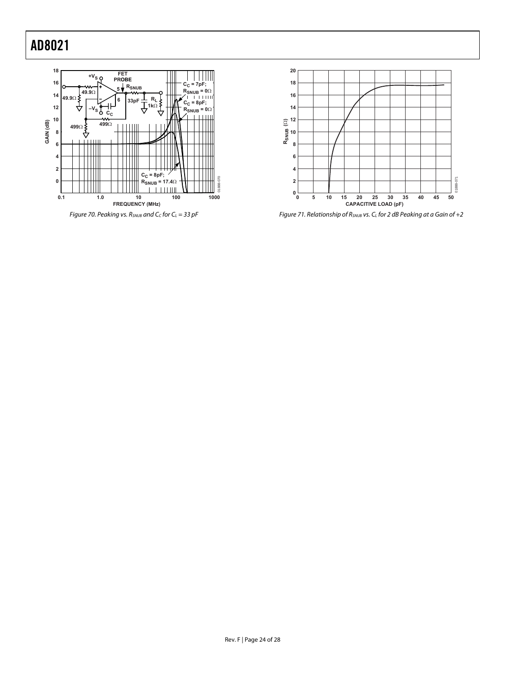<span id="page-23-0"></span>



Figure 71. Relationship of  $R_{SNUB}$  vs.  $C_L$  for 2 dB Peaking at a Gain of +2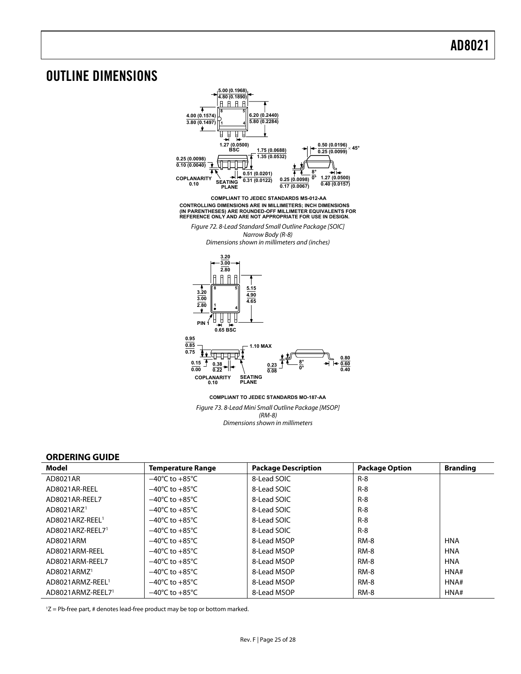### <span id="page-24-0"></span>OUTLINE DIMENSIONS



Figure 73. 8-Lead Mini Small Outline Package [MSOP] (RM-8) Dimensions shown in millimeters

### **ORDERING GUIDE**

<span id="page-24-1"></span>

| Model                        | <b>Temperature Range</b>           | <b>Package Description</b> | <b>Package Option</b> | <b>Branding</b> |
|------------------------------|------------------------------------|----------------------------|-----------------------|-----------------|
| AD8021AR                     | $-40^{\circ}$ C to $+85^{\circ}$ C | 8-Lead SOIC                | $R - 8$               |                 |
| AD8021AR-REEL                | $-40^{\circ}$ C to $+85^{\circ}$ C | 8-Lead SOIC                | $R - 8$               |                 |
| AD8021AR-REEL7               | $-40^{\circ}$ C to $+85^{\circ}$ C | 8-Lead SOIC                | $R - 8$               |                 |
| AD8021ARZ <sup>1</sup>       | $-40^{\circ}$ C to $+85^{\circ}$ C | 8-Lead SOIC                | $R - 8$               |                 |
| AD8021ARZ-REEL <sup>1</sup>  | $-40^{\circ}$ C to $+85^{\circ}$ C | 8-Lead SOIC                | $R - 8$               |                 |
| AD8021ARZ-REEL71             | $-40^{\circ}$ C to $+85^{\circ}$ C | 8-Lead SOIC                | $R - 8$               |                 |
| AD8021ARM                    | $-40^{\circ}$ C to $+85^{\circ}$ C | 8-Lead MSOP                | <b>RM-8</b>           | <b>HNA</b>      |
| AD8021ARM-REEL               | $-40^{\circ}$ C to $+85^{\circ}$ C | 8-Lead MSOP                | <b>RM-8</b>           | <b>HNA</b>      |
| AD8021ARM-REEL7              | $-40^{\circ}$ C to $+85^{\circ}$ C | 8-Lead MSOP                | <b>RM-8</b>           | <b>HNA</b>      |
| AD8021ARMZ <sup>1</sup>      | $-40^{\circ}$ C to $+85^{\circ}$ C | 8-Lead MSOP                | <b>RM-8</b>           | HNA#            |
| AD8021ARMZ-REEL <sup>1</sup> | $-40^{\circ}$ C to $+85^{\circ}$ C | 8-Lead MSOP                | <b>RM-8</b>           | HNA#            |
| AD8021ARMZ-REEL71            | $-40^{\circ}$ C to $+85^{\circ}$ C | 8-Lead MSOP                | RM-8                  | HNA#            |

1 Z = Pb-free part, # denotes lead-free product may be top or bottom marked.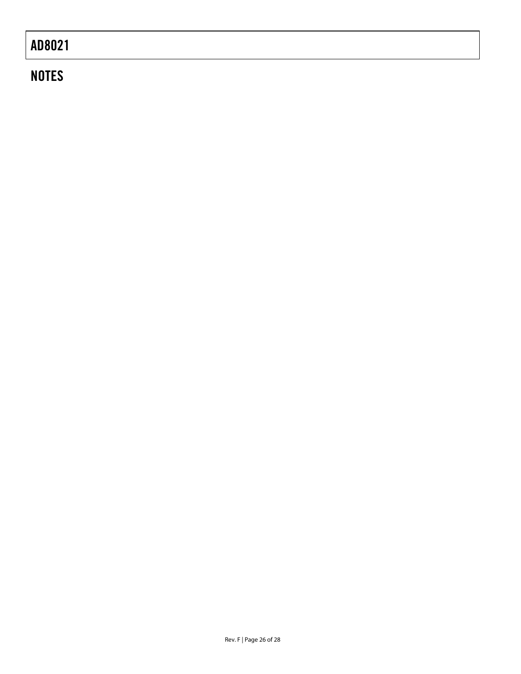# **NOTES**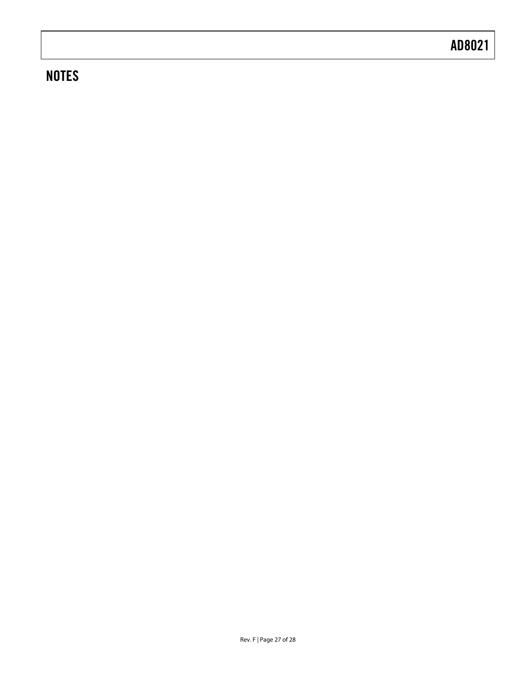# **NOTES**